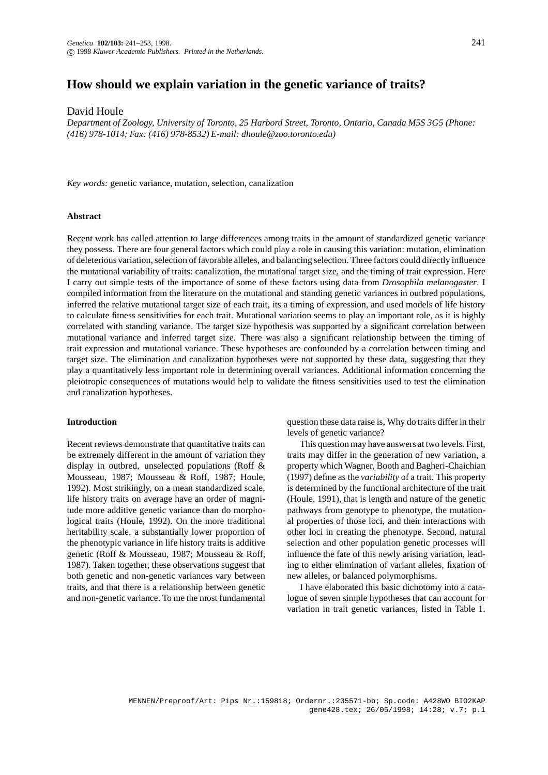# **How should we explain variation in the genetic variance of traits?**

# David Houle

*Department of Zoology, University of Toronto, 25 Harbord Street, Toronto, Ontario, Canada M5S 3G5 (Phone: (416) 978-1014; Fax: (416) 978-8532) E-mail: dhoule@zoo.toronto.edu)*

*Key words:* genetic variance, mutation, selection, canalization

# **Abstract**

Recent work has called attention to large differences among traits in the amount of standardized genetic variance they possess. There are four general factors which could play a role in causing this variation: mutation, elimination of deleterious variation, selection of favorable alleles, and balancing selection. Three factors could directly influence the mutational variability of traits: canalization, the mutational target size, and the timing of trait expression. Here I carry out simple tests of the importance of some of these factors using data from *Drosophila melanogaster*. I compiled information from the literature on the mutational and standing genetic variances in outbred populations, inferred the relative mutational target size of each trait, its a timing of expression, and used models of life history to calculate fitness sensitivities for each trait. Mutational variation seems to play an important role, as it is highly correlated with standing variance. The target size hypothesis was supported by a significant correlation between mutational variance and inferred target size. There was also a significant relationship between the timing of trait expression and mutational variance. These hypotheses are confounded by a correlation between timing and target size. The elimination and canalization hypotheses were not supported by these data, suggesting that they play a quantitatively less important role in determining overall variances. Additional information concerning the pleiotropic consequences of mutations would help to validate the fitness sensitivities used to test the elimination and canalization hypotheses.

# **Introduction**

Recent reviews demonstrate that quantitative traits can be extremely different in the amount of variation they display in outbred, unselected populations (Roff & Mousseau, 1987; Mousseau & Roff, 1987; Houle, 1992). Most strikingly, on a mean standardized scale, life history traits on average have an order of magnitude more additive genetic variance than do morphological traits (Houle, 1992). On the more traditional heritability scale, a substantially lower proportion of the phenotypic variance in life history traits is additive genetic (Roff & Mousseau, 1987; Mousseau & Roff, 1987). Taken together, these observations suggest that both genetic and non-genetic variances vary between traits, and that there is a relationship between genetic and non-genetic variance. To me the most fundamental question these data raise is, Why do traits differ in their levels of genetic variance?

This question may have answers at two levels. First, traits may differ in the generation of new variation, a property which Wagner, Booth and Bagheri-Chaichian (1997) define as the *variability* of a trait. This property is determined by the functional architecture of the trait (Houle, 1991), that is length and nature of the genetic pathways from genotype to phenotype, the mutational properties of those loci, and their interactions with other loci in creating the phenotype. Second, natural selection and other population genetic processes will influence the fate of this newly arising variation, leading to either elimination of variant alleles, fixation of new alleles, or balanced polymorphisms.

I have elaborated this basic dichotomy into a catalogue of seven simple hypotheses that can account for variation in trait genetic variances, listed in Table 1.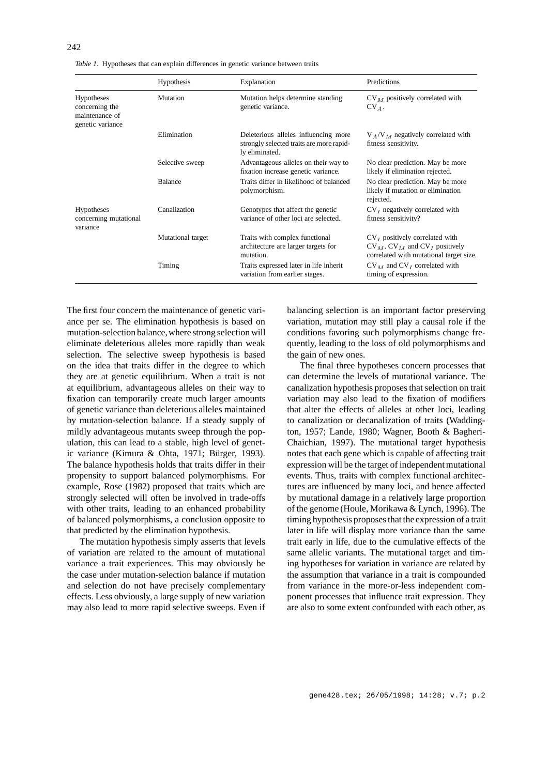|                                                                    | Hypothesis        | Explanation                                                                                        | Predictions                                                                                                                           |
|--------------------------------------------------------------------|-------------------|----------------------------------------------------------------------------------------------------|---------------------------------------------------------------------------------------------------------------------------------------|
| Hypotheses<br>concerning the<br>maintenance of<br>genetic variance | Mutation          | Mutation helps determine standing<br>genetic variance.                                             | $CVM$ positively correlated with<br>$CVA$ .                                                                                           |
|                                                                    | Elimination       | Deleterious alleles influencing more<br>strongly selected traits are more rapid-<br>ly eliminated. | $V_A/V_M$ negatively correlated with<br>fitness sensitivity.                                                                          |
|                                                                    | Selective sweep   | Advantageous alleles on their way to<br>fixation increase genetic variance.                        | No clear prediction. May be more<br>likely if elimination rejected.                                                                   |
|                                                                    | <b>Balance</b>    | Traits differ in likelihood of balanced<br>polymorphism.                                           | No clear prediction. May be more<br>likely if mutation or elimination<br>rejected.                                                    |
| <b>Hypotheses</b><br>concerning mutational<br>variance             | Canalization      | Genotypes that affect the genetic<br>variance of other loci are selected.                          | $CVI$ negatively correlated with<br>fitness sensitivity?                                                                              |
|                                                                    | Mutational target | Traits with complex functional<br>architecture are larger targets for<br>mutation.                 | $CVI$ positively correlated with<br>$CVM$ . CV <sub>M</sub> and CV <sub>I</sub> positively<br>correlated with mutational target size. |
|                                                                    | Timing            | Traits expressed later in life inherit<br>variation from earlier stages.                           | $CVM$ and $CVI$ correlated with<br>timing of expression.                                                                              |

*Table 1*. Hypotheses that can explain differences in genetic variance between traits

The first four concern the maintenance of genetic variance per se. The elimination hypothesis is based on mutation-selection balance,where strong selection will eliminate deleterious alleles more rapidly than weak selection. The selective sweep hypothesis is based on the idea that traits differ in the degree to which they are at genetic equilibrium. When a trait is not at equilibrium, advantageous alleles on their way to fixation can temporarily create much larger amounts of genetic variance than deleterious alleles maintained by mutation-selection balance. If a steady supply of mildly advantageous mutants sweep through the population, this can lead to a stable, high level of genetic variance (Kimura & Ohta, 1971; Bürger, 1993). The balance hypothesis holds that traits differ in their propensity to support balanced polymorphisms. For example, Rose (1982) proposed that traits which are strongly selected will often be involved in trade-offs with other traits, leading to an enhanced probability of balanced polymorphisms, a conclusion opposite to that predicted by the elimination hypothesis.

The mutation hypothesis simply asserts that levels of variation are related to the amount of mutational variance a trait experiences. This may obviously be the case under mutation-selection balance if mutation and selection do not have precisely complementary effects. Less obviously, a large supply of new variation may also lead to more rapid selective sweeps. Even if balancing selection is an important factor preserving variation, mutation may still play a causal role if the conditions favoring such polymorphisms change frequently, leading to the loss of old polymorphisms and the gain of new ones.

The final three hypotheses concern processes that can determine the levels of mutational variance. The canalization hypothesis proposes that selection on trait variation may also lead to the fixation of modifiers that alter the effects of alleles at other loci, leading to canalization or decanalization of traits (Waddington, 1957; Lande, 1980; Wagner, Booth & Bagheri-Chaichian, 1997). The mutational target hypothesis notes that each gene which is capable of affecting trait expression will be the target of independent mutational events. Thus, traits with complex functional architectures are influenced by many loci, and hence affected by mutational damage in a relatively large proportion of the genome (Houle, Morikawa & Lynch, 1996). The timing hypothesis proposes that the expression of a trait later in life will display more variance than the same trait early in life, due to the cumulative effects of the same allelic variants. The mutational target and timing hypotheses for variation in variance are related by the assumption that variance in a trait is compounded from variance in the more-or-less independent component processes that influence trait expression. They are also to some extent confounded with each other, as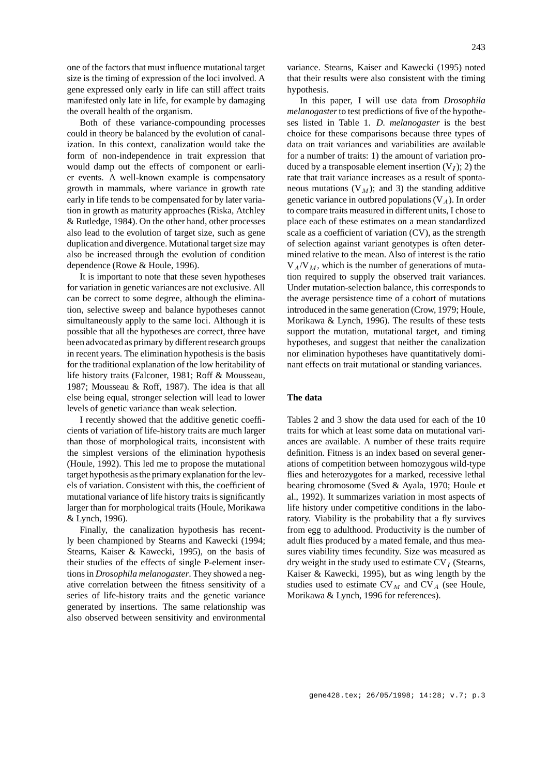Both of these variance-compounding processes could in theory be balanced by the evolution of canalization. In this context, canalization would take the form of non-independence in trait expression that would damp out the effects of component or earlier events. A well-known example is compensatory growth in mammals, where variance in growth rate early in life tends to be compensated for by later variation in growth as maturity approaches (Riska, Atchley & Rutledge, 1984). On the other hand, other processes also lead to the evolution of target size, such as gene duplication and divergence. Mutational target size may also be increased through the evolution of condition dependence (Rowe & Houle, 1996).

It is important to note that these seven hypotheses for variation in genetic variances are not exclusive. All can be correct to some degree, although the elimination, selective sweep and balance hypotheses cannot simultaneously apply to the same loci. Although it is possible that all the hypotheses are correct, three have been advocated as primary by different research groups in recent years. The elimination hypothesis is the basis for the traditional explanation of the low heritability of life history traits (Falconer, 1981; Roff & Mousseau, 1987; Mousseau & Roff, 1987). The idea is that all else being equal, stronger selection will lead to lower levels of genetic variance than weak selection.

I recently showed that the additive genetic coefficients of variation of life-history traits are much larger than those of morphological traits, inconsistent with the simplest versions of the elimination hypothesis (Houle, 1992). This led me to propose the mutational target hypothesis as the primary explanation for the levels of variation. Consistent with this, the coefficient of mutational variance of life history traits is significantly larger than for morphological traits (Houle, Morikawa & Lynch, 1996).

Finally, the canalization hypothesis has recently been championed by Stearns and Kawecki (1994; Stearns, Kaiser & Kawecki, 1995), on the basis of their studies of the effects of single P-element insertions in *Drosophila melanogaster*. They showed a negative correlation between the fitness sensitivity of a series of life-history traits and the genetic variance generated by insertions. The same relationship was also observed between sensitivity and environmental

In this paper, I will use data from *Drosophila melanogaster*to test predictions of five of the hypotheses listed in Table 1. *D. melanogaster* is the best choice for these comparisons because three types of data on trait variances and variabilities are available for a number of traits: 1) the amount of variation produced by a transposable element insertion  $(V<sub>I</sub>)$ ; 2) the rate that trait variance increases as a result of spontaneous mutations  $(V_M)$ ; and 3) the standing additive genetic variance in outbred populations  $(V_A)$ . In order to compare traits measured in different units, I chose to place each of these estimates on a mean standardized scale as a coefficient of variation (CV), as the strength of selection against variant genotypes is often determined relative to the mean. Also of interest is the ratio  $V_A/V_M$ , which is the number of generations of mutation required to supply the observed trait variances. Under mutation-selection balance, this corresponds to the average persistence time of a cohort of mutations introduced in the same generation (Crow, 1979; Houle, Morikawa & Lynch, 1996). The results of these tests support the mutation, mutational target, and timing hypotheses, and suggest that neither the canalization nor elimination hypotheses have quantitatively dominant effects on trait mutational or standing variances.

# **The data**

Tables 2 and 3 show the data used for each of the 10 traits for which at least some data on mutational variances are available. A number of these traits require definition. Fitness is an index based on several generations of competition between homozygous wild-type flies and heterozygotes for a marked, recessive lethal bearing chromosome (Sved & Ayala, 1970; Houle et al., 1992). It summarizes variation in most aspects of life history under competitive conditions in the laboratory. Viability is the probability that a fly survives from egg to adulthood. Productivity is the number of adult flies produced by a mated female, and thus measures viability times fecundity. Size was measured as dry weight in the study used to estimate  $CV<sub>I</sub>$  (Stearns, Kaiser & Kawecki, 1995), but as wing length by the studies used to estimate  $CV<sub>M</sub>$  and  $CV<sub>A</sub>$  (see Houle, Morikawa & Lynch, 1996 for references).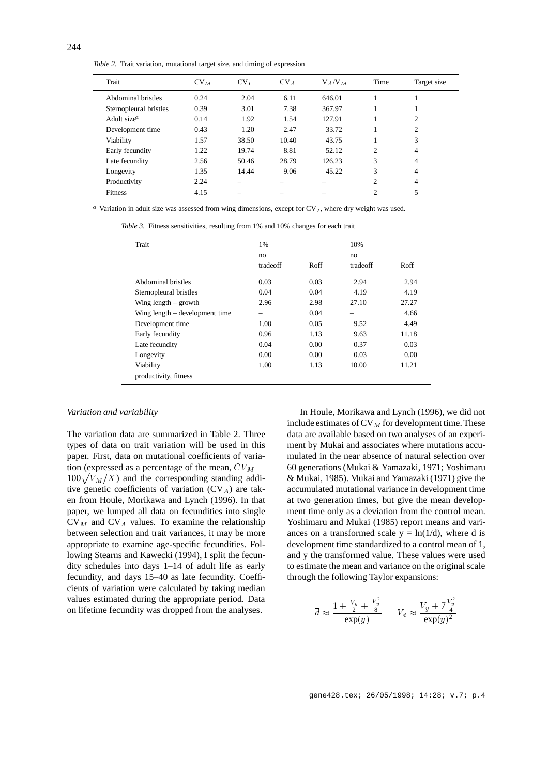| Trait                                | CV <sub>M</sub> | $CV_I$ | $CV_A$ | $V_A/V_M$ | Time           | Target size    |
|--------------------------------------|-----------------|--------|--------|-----------|----------------|----------------|
| Abdominal bristles                   | 0.24            | 2.04   | 6.11   | 646.01    |                |                |
| Sternopleural bristles               | 0.39            | 3.01   | 7.38   | 367.97    |                |                |
| Adult size <sup><math>a</math></sup> | 0.14            | 1.92   | 1.54   | 127.91    |                | $\overline{c}$ |
| Development time                     | 0.43            | 1.20   | 2.47   | 33.72     |                | 2              |
| Viability                            | 1.57            | 38.50  | 10.40  | 43.75     |                | 3              |
| Early fecundity                      | 1.22            | 19.74  | 8.81   | 52.12     | $\overline{c}$ | 4              |
| Late fecundity                       | 2.56            | 50.46  | 28.79  | 126.23    | 3              | 4              |
| Longevity                            | 1.35            | 14.44  | 9.06   | 45.22     | 3              | 4              |
| Productivity                         | 2.24            |        |        |           | $\overline{c}$ | 4              |
| <b>Fitness</b>                       | 4.15            |        |        |           | $\overline{c}$ | 5              |

*Table 2*. Trait variation, mutational target size, and timing of expression

 $\alpha$  Variation in adult size was assessed from wing dimensions, except for CV<sub>I</sub>, where dry weight was used.

*Table 3*. Fitness sensitivities, resulting from 1% and 10% changes for each trait

| Trait                            | 1%<br>no |      | 10%                      |       |
|----------------------------------|----------|------|--------------------------|-------|
|                                  |          |      | no                       |       |
|                                  | tradeoff | Roff | tradeoff                 | Roff  |
| Abdominal bristles               | 0.03     | 0.03 | 2.94                     | 2.94  |
| Sternopleural bristles           | 0.04     | 0.04 | 4.19                     | 4.19  |
| Wing length $-$ growth           | 2.96     | 2.98 | 27.10                    | 27.27 |
| Wing $length - development$ time | —        | 0.04 | $\overline{\phantom{0}}$ | 4.66  |
| Development time                 | 1.00     | 0.05 | 9.52                     | 4.49  |
| Early fecundity                  | 0.96     | 1.13 | 9.63                     | 11.18 |
| Late fecundity                   | 0.04     | 0.00 | 0.37                     | 0.03  |
| Longevity                        | 0.00     | 0.00 | 0.03                     | 0.00  |
| Viability                        | 1.00     | 1.13 | 10.00                    | 11.21 |
| productivity, fitness            |          |      |                          |       |

# *Variation and variability*

The variation data are summarized in Table 2. Three types of data on trait variation will be used in this paper. First, data on mutational coefficients of variation (expressed as a percentage of the mean,  $CV_M$  =  $100\sqrt{V_M/X}$ ) and the corresponding standing additive genetic coefficients of variation  $(CV_A)$  are taken from Houle, Morikawa and Lynch (1996). In that paper, we lumped all data on fecundities into single  $CV<sub>M</sub>$  and  $CV<sub>A</sub>$  values. To examine the relationship between selection and trait variances, it may be more appropriate to examine age-specific fecundities. Following Stearns and Kawecki (1994), I split the fecundity schedules into days 1–14 of adult life as early fecundity, and days 15–40 as late fecundity. Coefficients of variation were calculated by taking median values estimated during the appropriate period. Data on lifetime fecundity was dropped from the analyses.

In Houle, Morikawa and Lynch (1996), we did not include estimates of  $CV<sub>M</sub>$  for development time. These data are available based on two analyses of an experiment by Mukai and associates where mutations accumulated in the near absence of natural selection over 60 generations (Mukai & Yamazaki, 1971; Yoshimaru & Mukai, 1985). Mukai and Yamazaki (1971) give the accumulated mutational variance in development time at two generation times, but give the mean development time only as a deviation from the control mean. Yoshimaru and Mukai (1985) report means and variances on a transformed scale  $y = ln(1/d)$ , where d is development time standardized to a control mean of 1, and y the transformed value. These values were used to estimate the mean and variance on the original scale through the following Taylor expansions:

$$
\overline{d} \approx \frac{1 + \frac{V_y}{2} + \frac{V_y^2}{8}}{\exp(\overline{y})} \qquad V_d \approx \frac{V_y + 7\frac{V_y^2}{4}}{\exp(\overline{y})^2}
$$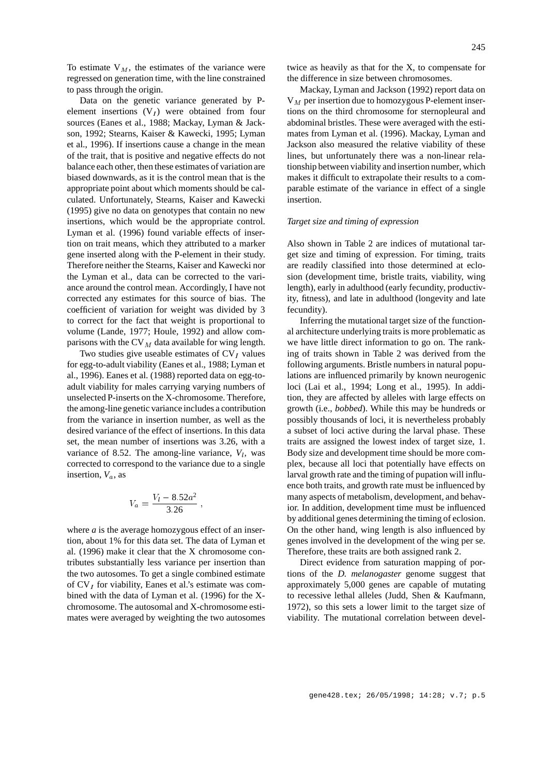To estimate  $V_M$ , the estimates of the variance were regressed on generation time, with the line constrained to pass through the origin.

Data on the genetic variance generated by Pelement insertions  $(V<sub>I</sub>)$  were obtained from four sources (Eanes et al., 1988; Mackay, Lyman & Jackson, 1992; Stearns, Kaiser & Kawecki, 1995; Lyman et al., 1996). If insertions cause a change in the mean of the trait, that is positive and negative effects do not balance each other, then these estimates of variation are biased downwards, as it is the control mean that is the appropriate point about which moments should be calculated. Unfortunately, Stearns, Kaiser and Kawecki (1995) give no data on genotypes that contain no new insertions, which would be the appropriate control. Lyman et al. (1996) found variable effects of insertion on trait means, which they attributed to a marker gene inserted along with the P-element in their study. Therefore neither the Stearns, Kaiser and Kawecki nor the Lyman et al., data can be corrected to the variance around the control mean. Accordingly, I have not corrected any estimates for this source of bias. The coefficient of variation for weight was divided by 3 to correct for the fact that weight is proportional to volume (Lande, 1977; Houle, 1992) and allow comparisons with the  $CV<sub>M</sub>$  data available for wing length.

Two studies give useable estimates of  $CV_I$  values for egg-to-adult viability (Eanes et al., 1988; Lyman et al., 1996). Eanes et al. (1988) reported data on egg-toadult viability for males carrying varying numbers of unselected P-inserts on the X-chromosome. Therefore, the among-line genetic variance includes a contribution from the variance in insertion number, as well as the desired variance of the effect of insertions. In this data set, the mean number of insertions was 3.26, with a variance of 8.52. The among-line variance,  $V_l$ , was corrected to correspond to the variance due to a single insertion,  $V_a$ , as

$$
V_a = \frac{V_l - 8.52a^2}{3.26} \ ,
$$

where *a* is the average homozygous effect of an insertion, about 1% for this data set. The data of Lyman et al. (1996) make it clear that the X chromosome contributes substantially less variance per insertion than the two autosomes. To get a single combined estimate of  $CV<sub>I</sub>$  for viability, Eanes et al.'s estimate was combined with the data of Lyman et al. (1996) for the Xchromosome. The autosomal and X-chromosome estimates were averaged by weighting the two autosomes twice as heavily as that for the X, to compensate for the difference in size between chromosomes.

Mackay, Lyman and Jackson (1992) report data on  $V_M$  per insertion due to homozygous P-element insertions on the third chromosome for sternopleural and abdominal bristles. These were averaged with the estimates from Lyman et al. (1996). Mackay, Lyman and Jackson also measured the relative viability of these lines, but unfortunately there was a non-linear relationship between viability and insertion number, which makes it difficult to extrapolate their results to a comparable estimate of the variance in effect of a single insertion.

# *Target size and timing of expression*

Also shown in Table 2 are indices of mutational target size and timing of expression. For timing, traits are readily classified into those determined at eclosion (development time, bristle traits, viability, wing length), early in adulthood (early fecundity, productivity, fitness), and late in adulthood (longevity and late fecundity).

Inferring the mutational target size of the functional architecture underlying traits is more problematic as we have little direct information to go on. The ranking of traits shown in Table 2 was derived from the following arguments. Bristle numbers in natural populations are influenced primarily by known neurogenic loci (Lai et al., 1994; Long et al., 1995). In addition, they are affected by alleles with large effects on growth (i.e., *bobbed*). While this may be hundreds or possibly thousands of loci, it is nevertheless probably a subset of loci active during the larval phase. These traits are assigned the lowest index of target size, 1. Body size and development time should be more complex, because all loci that potentially have effects on larval growth rate and the timing of pupation will influence both traits, and growth rate must be influenced by many aspects of metabolism, development, and behavior. In addition, development time must be influenced by additional genes determining the timing of eclosion. On the other hand, wing length is also influenced by genes involved in the development of the wing per se. Therefore, these traits are both assigned rank 2.

Direct evidence from saturation mapping of portions of the *D. melanogaster* genome suggest that approximately 5,000 genes are capable of mutating to recessive lethal alleles (Judd, Shen & Kaufmann, 1972), so this sets a lower limit to the target size of viability. The mutational correlation between devel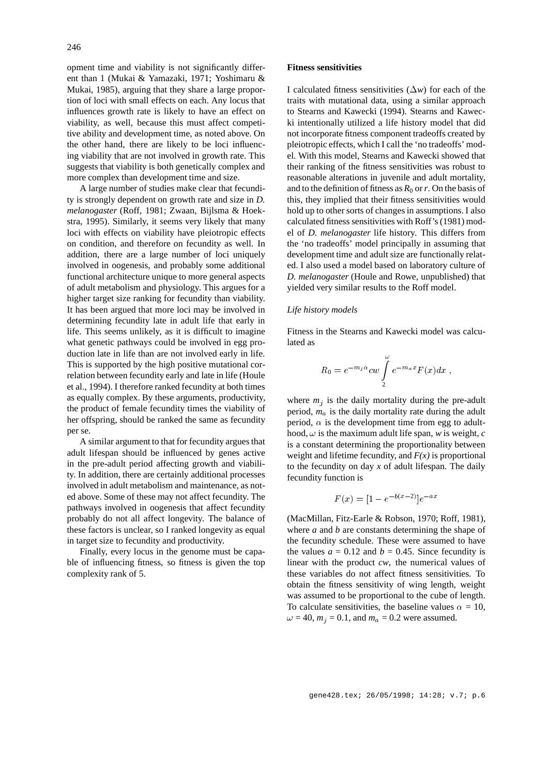opment time and viability is not significantly different than 1 (Mukai & Yamazaki, 1971; Yoshimaru & Mukai, 1985), arguing that they share a large proportion of loci with small effects on each. Any locus that influences growth rate is likely to have an effect on viability, as well, because this must affect competitive ability and development time, as noted above. On the other hand, there are likely to be loci influencing viability that are not involved in growth rate. This suggests that viability is both genetically complex and more complex than development time and size.

A large number of studies make clear that fecundity is strongly dependent on growth rate and size in *D. melanogaster* (Roff, 1981; Zwaan, Bijlsma & Hoekstra, 1995). Similarly, it seems very likely that many loci with effects on viability have pleiotropic effects on condition, and therefore on fecundity as well. In addition, there are a large number of loci uniquely involved in oogenesis, and probably some additional functional architecture unique to more general aspects of adult metabolism and physiology. This argues for a higher target size ranking for fecundity than viability. It has been argued that more loci may be involved in determining fecundity late in adult life that early in life. This seems unlikely, as it is difficult to imagine what genetic pathways could be involved in egg production late in life than are not involved early in life. This is supported by the high positive mutational correlation between fecundity early and late in life (Houle et al., 1994). I therefore ranked fecundity at both times as equally complex. By these arguments, productivity, the product of female fecundity times the viability of her offspring, should be ranked the same as fecundity per se.

A similar argument to that for fecundity argues that adult lifespan should be influenced by genes active in the pre-adult period affecting growth and viability. In addition, there are certainly additional processes involved in adult metabolism and maintenance, as noted above. Some of these may not affect fecundity. The pathways involved in oogenesis that affect fecundity probably do not all affect longevity. The balance of these factors is unclear, so I ranked longevity as equal in target size to fecundity and productivity.

Finally, every locus in the genome must be capable of influencing fitness, so fitness is given the top complexity rank of 5.

#### **Fitness sensitivities**

I calculated fitness sensitivities  $(\Delta w)$  for each of the traits with mutational data, using a similar approach to Stearns and Kawecki (1994). Stearns and Kawecki intentionally utilized a life history model that did not incorporate fitness component tradeoffs created by pleiotropic effects, which I call the 'no tradeoffs' model. With this model, Stearns and Kawecki showed that their ranking of the fitness sensitivities was robust to reasonable alterations in juvenile and adult mortality, and to the definition of fitness as  $R_0$  or r. On the basis of this, they implied that their fitness sensitivities would hold up to other sorts of changes in assumptions. I also calculated fitness sensitivities with Roff's (1981) model of *D. melanogaster* life history. This differs from the 'no tradeoffs' model principally in assuming that development time and adult size are functionally related. I also used a model based on laboratory culture of *D. melanogaster* (Houle and Rowe, unpublished) that yielded very similar results to the Roff model.

# *Life history models*

Fitness in the Stearns and Kawecki model was calculated as

$$
R_0 = e^{-m_j \alpha} c w \int\limits_{2}^{\omega} e^{-m_a x} F(x) dx ,
$$

where  $m_j$  is the daily mortality during the pre-adult period,  $m_a$  is the daily mortality rate during the adult period,  $\alpha$  is the development time from egg to adulthood,  $\omega$  is the maximum adult life span,  $w$  is weight,  $c$ is a constant determining the proportionality between weight and lifetime fecundity, and *F(x)* is proportional to the fecundity on day *x* of adult lifespan. The daily fecundity function is

$$
F(x) = [1 - e^{-b(x-2)}]e^{-ax}
$$

(MacMillan, Fitz-Earle & Robson, 1970; Roff, 1981), where *a* and *b* are constants determining the shape of the fecundity schedule. These were assumed to have the values  $a = 0.12$  and  $b = 0.45$ . Since fecundity is linear with the product *cw*, the numerical values of these variables do not affect fitness sensitivities. To obtain the fitness sensitivity of wing length, weight was assumed to be proportional to the cube of length. To calculate sensitivities, the baseline values  $\alpha = 10$ ,  $\omega = 40$ ,  $m_j = 0.1$ , and  $m_a = 0.2$  were assumed.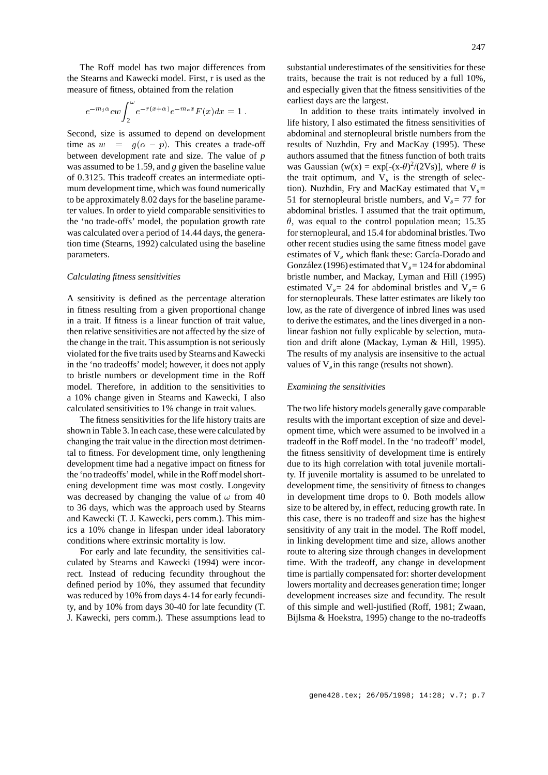The Roff model has two major differences from the Stearns and Kawecki model. First, r is used as the measure of fitness, obtained from the relation

$$
e^{-m_j\alpha}cw\int_2^{\omega}e^{-r(x+\alpha)}e^{-m_ax}F(x)dx=1.
$$

Second, size is assumed to depend on development time as  $w = g(\alpha - p)$ . This creates a trade-off between development rate and size. The value of *p* was assumed to be 1.59, and *g* given the baseline value of 0.3125. This tradeoff creates an intermediate optimum development time, which was found numerically to be approximately 8.02 days for the baseline parameter values. In order to yield comparable sensitivities to the 'no trade-offs' model, the population growth rate was calculated over a period of 14.44 days, the generation time (Stearns, 1992) calculated using the baseline parameters.

#### *Calculating fitness sensitivities*

A sensitivity is defined as the percentage alteration in fitness resulting from a given proportional change in a trait. If fitness is a linear function of trait value, then relative sensitivities are not affected by the size of the change in the trait. This assumption is not seriously violated for the five traits used by Stearns and Kawecki in the 'no tradeoffs' model; however, it does not apply to bristle numbers or development time in the Roff model. Therefore, in addition to the sensitivities to a 10% change given in Stearns and Kawecki, I also calculated sensitivities to 1% change in trait values.

The fitness sensitivities for the life history traits are shown in Table 3. In each case, these were calculated by changing the trait value in the direction most detrimental to fitness. For development time, only lengthening development time had a negative impact on fitness for the 'no tradeoffs' model, while in the Roff model shortening development time was most costly. Longevity was decreased by changing the value of  $\omega$  from 40 to 36 days, which was the approach used by Stearns and Kawecki (T. J. Kawecki, pers comm.). This mimics a 10% change in lifespan under ideal laboratory conditions where extrinsic mortality is low.

For early and late fecundity, the sensitivities calculated by Stearns and Kawecki (1994) were incorrect. Instead of reducing fecundity throughout the defined period by 10%, they assumed that fecundity was reduced by 10% from days 4-14 for early fecundity, and by 10% from days 30-40 for late fecundity (T. J. Kawecki, pers comm.). These assumptions lead to substantial underestimates of the sensitivities for these traits, because the trait is not reduced by a full 10%, and especially given that the fitness sensitivities of the earliest days are the largest.

In addition to these traits intimately involved in life history, I also estimated the fitness sensitivities of abdominal and sternopleural bristle numbers from the results of Nuzhdin, Fry and MacKay (1995). These authors assumed that the fitness function of both traits was Gaussian ( $w(x) = exp[-(x-\theta)^2/(2Vs)]$ , where  $\theta$  is the trait optimum, and  $V<sub>s</sub>$  is the strength of selection). Nuzhdin, Fry and MacKay estimated that  $V_s=$ 51 for sternopleural bristle numbers, and  $V_s = 77$  for abdominal bristles. I assumed that the trait optimum,  $\theta$ , was equal to the control population mean; 15.35 for sternopleural, and 15.4 for abdominal bristles. Two other recent studies using the same fitness model gave estimates of  $V<sub>s</sub>$  which flank these: García-Dorado and González (1996) estimated that  $V_s = 124$  for abdominal bristle number, and Mackay, Lyman and Hill (1995) estimated  $V_s$  = 24 for abdominal bristles and  $V_s$  = 6 for sternopleurals. These latter estimates are likely too low, as the rate of divergence of inbred lines was used to derive the estimates, and the lines diverged in a nonlinear fashion not fully explicable by selection, mutation and drift alone (Mackay, Lyman & Hill, 1995). The results of my analysis are insensitive to the actual values of  $V_s$  in this range (results not shown).

#### *Examining the sensitivities*

The two life history models generally gave comparable results with the important exception of size and development time, which were assumed to be involved in a tradeoff in the Roff model. In the 'no tradeoff' model, the fitness sensitivity of development time is entirely due to its high correlation with total juvenile mortality. If juvenile mortality is assumed to be unrelated to development time, the sensitivity of fitness to changes in development time drops to 0. Both models allow size to be altered by, in effect, reducing growth rate. In this case, there is no tradeoff and size has the highest sensitivity of any trait in the model. The Roff model, in linking development time and size, allows another route to altering size through changes in development time. With the tradeoff, any change in development time is partially compensated for: shorter development lowers mortality and decreases generation time; longer development increases size and fecundity. The result of this simple and well-justified (Roff, 1981; Zwaan, Bijlsma & Hoekstra, 1995) change to the no-tradeoffs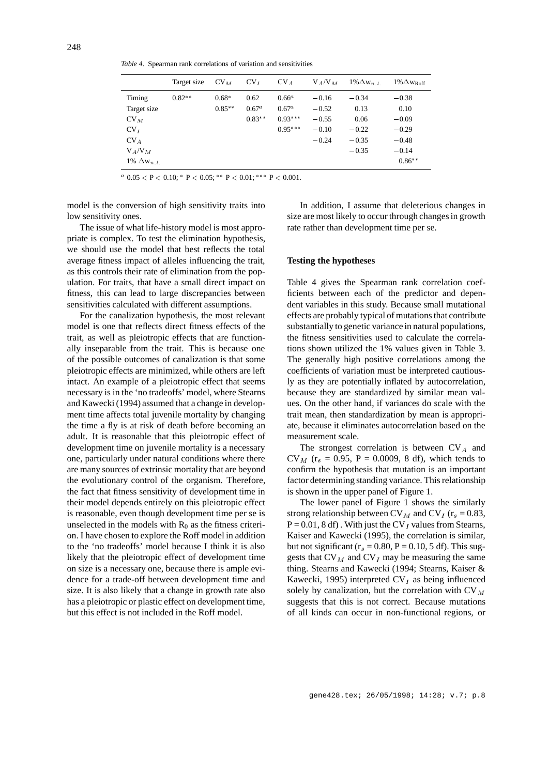*Table 4*. Spearman rank correlations of variation and sensitivities

|                             | Target size | CV <sub>M</sub> | CV <sub>I</sub> | $CV_A$            | $V_A/V_M$ | $1\% \Delta w_{n-t}$ | $1\% \Delta w_{Roff}$ |
|-----------------------------|-------------|-----------------|-----------------|-------------------|-----------|----------------------|-----------------------|
| Timing                      | $0.82**$    | $0.68*$         | 0.62            | $0.66^a$          | $-0.16$   | $-0.34$              | $-0.38$               |
| Target size                 |             | $0.85***$       | $0.67^a$        | 0.67 <sup>a</sup> | $-0.52$   | 0.13                 | 0.10                  |
| CV <sub>M</sub>             |             |                 | $0.83***$       | $0.93***$         | $-0.55$   | 0.06                 | $-0.09$               |
| CV <sub>I</sub>             |             |                 |                 | $0.95***$         | $-0.10$   | $-0.22$              | $-0.29$               |
| $CV_A$                      |             |                 |                 |                   | $-0.24$   | $-0.35$              | $-0.48$               |
| $V_A/V_M$                   |             |                 |                 |                   |           | $-0.35$              | $-0.14$               |
| 1% $\Delta$ W <sub>nt</sub> |             |                 |                 |                   |           |                      | $0.86***$             |

 $\alpha$  0.05  $\lt$  P  $\lt$  0.10; \* P  $\lt$  0.05; \*\* P  $\lt$  0.01; \*\*\* P  $\lt$  0.001.

model is the conversion of high sensitivity traits into low sensitivity ones.

The issue of what life-history model is most appropriate is complex. To test the elimination hypothesis, we should use the model that best reflects the total average fitness impact of alleles influencing the trait, as this controls their rate of elimination from the population. For traits, that have a small direct impact on fitness, this can lead to large discrepancies between sensitivities calculated with different assumptions.

For the canalization hypothesis, the most relevant model is one that reflects direct fitness effects of the trait, as well as pleiotropic effects that are functionally inseparable from the trait. This is because one of the possible outcomes of canalization is that some pleiotropic effects are minimized, while others are left intact. An example of a pleiotropic effect that seems necessary is in the 'no tradeoffs' model, where Stearns and Kawecki (1994) assumed that a change in development time affects total juvenile mortality by changing the time a fly is at risk of death before becoming an adult. It is reasonable that this pleiotropic effect of development time on juvenile mortality is a necessary one, particularly under natural conditions where there are many sources of extrinsic mortality that are beyond the evolutionary control of the organism. Therefore, the fact that fitness sensitivity of development time in their model depends entirely on this pleiotropic effect is reasonable, even though development time per se is unselected in the models with  $R_0$  as the fitness criterion. I have chosen to explore the Roff model in addition to the 'no tradeoffs' model because I think it is also likely that the pleiotropic effect of development time on size is a necessary one, because there is ample evidence for a trade-off between development time and size. It is also likely that a change in growth rate also has a pleiotropic or plastic effect on development time, but this effect is not included in the Roff model.

In addition, I assume that deleterious changes in size are most likely to occur through changes in growth rate rather than development time per se.

# **Testing the hypotheses**

Table 4 gives the Spearman rank correlation coefficients between each of the predictor and dependent variables in this study. Because small mutational effects are probably typical of mutations that contribute substantially to genetic variance in natural populations, the fitness sensitivities used to calculate the correlations shown utilized the 1% values given in Table 3. The generally high positive correlations among the coefficients of variation must be interpreted cautiously as they are potentially inflated by autocorrelation, because they are standardized by similar mean values. On the other hand, if variances do scale with the trait mean, then standardization by mean is appropriate, because it eliminates autocorrelation based on the measurement scale.

The strongest correlation is between  $CV_A$  and  $CV<sub>M</sub>$  (r<sub>s</sub> = 0.95, P = 0.0009, 8 df), which tends to confirm the hypothesis that mutation is an important factor determining standing variance. This relationship is shown in the upper panel of Figure 1.

The lower panel of Figure 1 shows the similarly strong relationship between CV<sub>M</sub> and CV<sub>I</sub> ( $r_s = 0.83$ ,  $P = 0.01$ , 8 df). With just the CV<sub>I</sub> values from Stearns, Kaiser and Kawecki (1995), the correlation is similar, but not significant ( $r_s = 0.80$ ,  $P = 0.10$ , 5 df). This suggests that  $CV_M$  and  $CV_I$  may be measuring the same thing. Stearns and Kawecki (1994; Stearns, Kaiser & Kawecki, 1995) interpreted  $CV_I$  as being influenced solely by canalization, but the correlation with  $CV<sub>M</sub>$ suggests that this is not correct. Because mutations of all kinds can occur in non-functional regions, or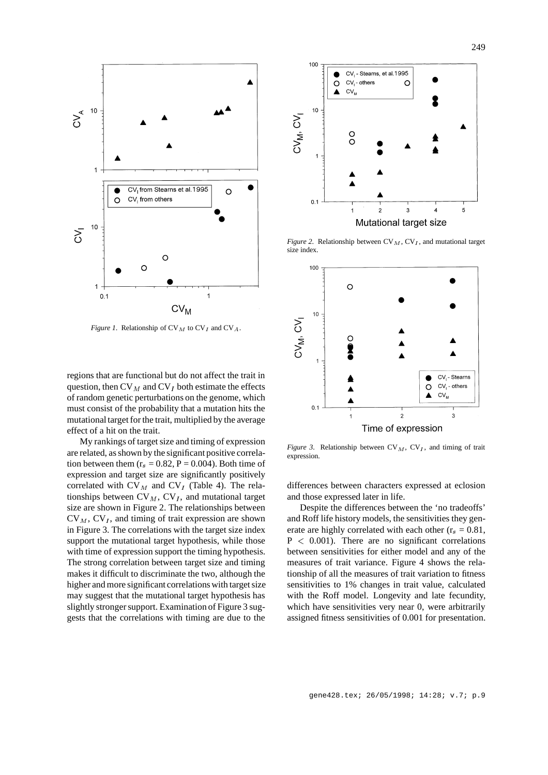

*Figure 1*. Relationship of  $CV<sub>M</sub>$  to  $CV<sub>I</sub>$  and  $CV<sub>A</sub>$ .

regions that are functional but do not affect the trait in question, then  $CV_M$  and  $CV_I$  both estimate the effects of random genetic perturbations on the genome, which must consist of the probability that a mutation hits the mutational target for the trait, multiplied by the average effect of a hit on the trait.

My rankings of target size and timing of expression are related, as shown by the significant positive correlation between them  $(r_s = 0.82, P = 0.004)$ . Both time of expression and target size are significantly positively correlated with  $CV<sub>M</sub>$  and  $CV<sub>I</sub>$  (Table 4). The relationships between  $CV_M$ ,  $CV_I$ , and mutational target size are shown in Figure 2. The relationships between  $CV<sub>M</sub>$ ,  $CV<sub>I</sub>$ , and timing of trait expression are shown in Figure 3. The correlations with the target size index support the mutational target hypothesis, while those with time of expression support the timing hypothesis. The strong correlation between target size and timing makes it difficult to discriminate the two, although the higher and more significant correlations with target size may suggest that the mutational target hypothesis has slightly stronger support. Examination of Figure 3 suggests that the correlations with timing are due to the



*Figure 2.* Relationship between  $CV<sub>M</sub>$ ,  $CV<sub>I</sub>$ , and mutational target size index.



*Figure 3*. Relationship between  $CV<sub>M</sub>$ ,  $CV<sub>I</sub>$ , and timing of trait expression.

differences between characters expressed at eclosion and those expressed later in life.

Despite the differences between the 'no tradeoffs' and Roff life history models, the sensitivities they generate are highly correlated with each other  $(r_s = 0.81$ ,  $P < 0.001$ ). There are no significant correlations between sensitivities for either model and any of the measures of trait variance. Figure 4 shows the relationship of all the measures of trait variation to fitness sensitivities to 1% changes in trait value, calculated with the Roff model. Longevity and late fecundity, which have sensitivities very near 0, were arbitrarily assigned fitness sensitivities of 0.001 for presentation.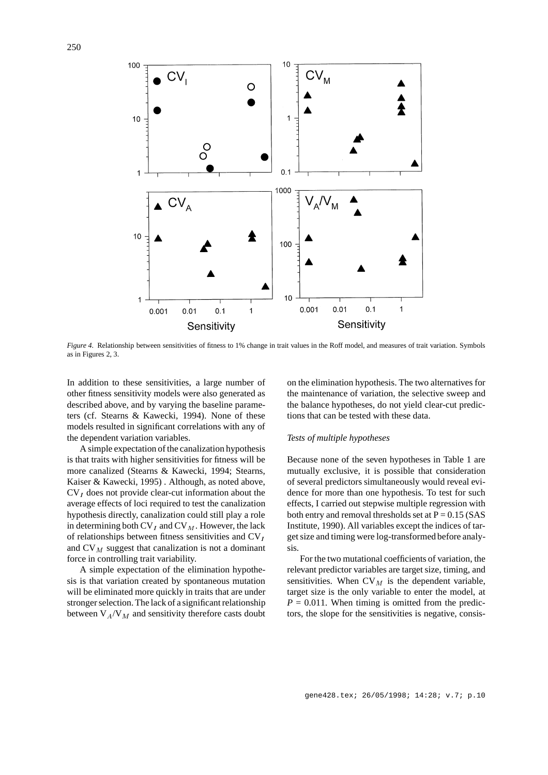

*Figure 4*. Relationship between sensitivities of fitness to 1% change in trait values in the Roff model, and measures of trait variation. Symbols as in Figures 2, 3.

In addition to these sensitivities, a large number of other fitness sensitivity models were also generated as described above, and by varying the baseline parameters (cf. Stearns & Kawecki, 1994). None of these models resulted in significant correlations with any of the dependent variation variables.

A simple expectation of the canalization hypothesis is that traits with higher sensitivities for fitness will be more canalized (Stearns & Kawecki, 1994; Stearns, Kaiser & Kawecki, 1995) . Although, as noted above,  $CV<sub>I</sub>$  does not provide clear-cut information about the average effects of loci required to test the canalization hypothesis directly, canalization could still play a role in determining both CV<sub>I</sub> and CV<sub>M</sub>. However, the lack of relationships between fitness sensitivities and  $CV_I$ and  $CV<sub>M</sub>$  suggest that canalization is not a dominant force in controlling trait variability.

A simple expectation of the elimination hypothesis is that variation created by spontaneous mutation will be eliminated more quickly in traits that are under stronger selection. The lack of a significant relationship between  $V_A/V_M$  and sensitivity therefore casts doubt

on the elimination hypothesis. The two alternatives for the maintenance of variation, the selective sweep and the balance hypotheses, do not yield clear-cut predictions that can be tested with these data.

# *Tests of multiple hypotheses*

Because none of the seven hypotheses in Table 1 are mutually exclusive, it is possible that consideration of several predictors simultaneously would reveal evidence for more than one hypothesis. To test for such effects, I carried out stepwise multiple regression with both entry and removal thresholds set at  $P = 0.15$  (SAS Institute, 1990). All variables except the indices of target size and timing were log-transformed before analysis.

For the two mutational coefficients of variation, the relevant predictor variables are target size, timing, and sensitivities. When  $CV_M$  is the dependent variable, target size is the only variable to enter the model, at  $P = 0.011$ . When timing is omitted from the predictors, the slope for the sensitivities is negative, consis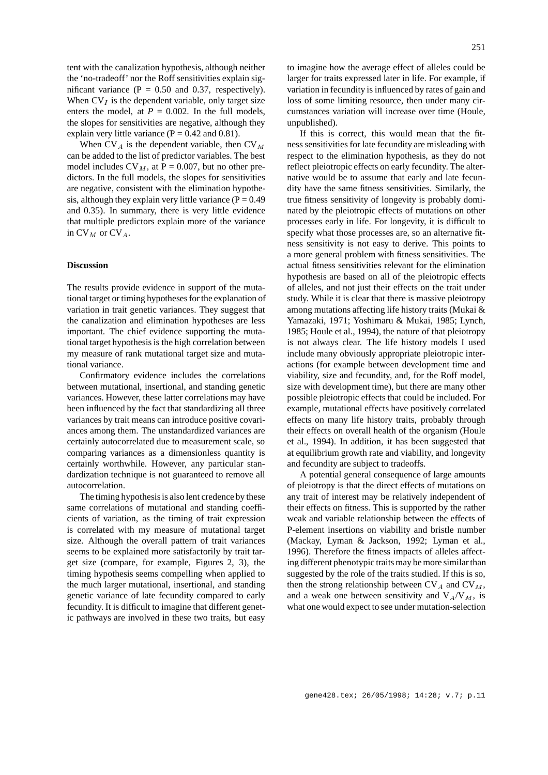tent with the canalization hypothesis, although neither the 'no-tradeoff' nor the Roff sensitivities explain significant variance ( $P = 0.50$  and 0.37, respectively). When  $CV<sub>I</sub>$  is the dependent variable, only target size enters the model, at  $P = 0.002$ . In the full models, the slopes for sensitivities are negative, although they explain very little variance  $(P = 0.42$  and 0.81).

When  $CV_A$  is the dependent variable, then  $CV_M$ can be added to the list of predictor variables. The best model includes  $CV_M$ , at  $P = 0.007$ , but no other predictors. In the full models, the slopes for sensitivities are negative, consistent with the elimination hypothesis, although they explain very little variance ( $P = 0.49$ ) and 0.35). In summary, there is very little evidence that multiple predictors explain more of the variance in  $CV_M$  or  $CV_A$ .

### **Discussion**

The results provide evidence in support of the mutational target or timing hypotheses for the explanation of variation in trait genetic variances. They suggest that the canalization and elimination hypotheses are less important. The chief evidence supporting the mutational target hypothesis is the high correlation between my measure of rank mutational target size and mutational variance.

Confirmatory evidence includes the correlations between mutational, insertional, and standing genetic variances. However, these latter correlations may have been influenced by the fact that standardizing all three variances by trait means can introduce positive covariances among them. The unstandardized variances are certainly autocorrelated due to measurement scale, so comparing variances as a dimensionless quantity is certainly worthwhile. However, any particular standardization technique is not guaranteed to remove all autocorrelation.

The timing hypothesis is also lent credence by these same correlations of mutational and standing coefficients of variation, as the timing of trait expression is correlated with my measure of mutational target size. Although the overall pattern of trait variances seems to be explained more satisfactorily by trait target size (compare, for example, Figures 2, 3), the timing hypothesis seems compelling when applied to the much larger mutational, insertional, and standing genetic variance of late fecundity compared to early fecundity. It is difficult to imagine that different genetic pathways are involved in these two traits, but easy to imagine how the average effect of alleles could be larger for traits expressed later in life. For example, if variation in fecundity is influenced by rates of gain and loss of some limiting resource, then under many circumstances variation will increase over time (Houle, unpublished).

If this is correct, this would mean that the fitness sensitivities for late fecundity are misleading with respect to the elimination hypothesis, as they do not reflect pleiotropic effects on early fecundity. The alternative would be to assume that early and late fecundity have the same fitness sensitivities. Similarly, the true fitness sensitivity of longevity is probably dominated by the pleiotropic effects of mutations on other processes early in life. For longevity, it is difficult to specify what those processes are, so an alternative fitness sensitivity is not easy to derive. This points to a more general problem with fitness sensitivities. The actual fitness sensitivities relevant for the elimination hypothesis are based on all of the pleiotropic effects of alleles, and not just their effects on the trait under study. While it is clear that there is massive pleiotropy among mutations affecting life history traits (Mukai & Yamazaki, 1971; Yoshimaru & Mukai, 1985; Lynch, 1985; Houle et al., 1994), the nature of that pleiotropy is not always clear. The life history models I used include many obviously appropriate pleiotropic interactions (for example between development time and viability, size and fecundity, and, for the Roff model, size with development time), but there are many other possible pleiotropic effects that could be included. For example, mutational effects have positively correlated effects on many life history traits, probably through their effects on overall health of the organism (Houle et al., 1994). In addition, it has been suggested that at equilibrium growth rate and viability, and longevity and fecundity are subject to tradeoffs.

A potential general consequence of large amounts of pleiotropy is that the direct effects of mutations on any trait of interest may be relatively independent of their effects on fitness. This is supported by the rather weak and variable relationship between the effects of P-element insertions on viability and bristle number (Mackay, Lyman & Jackson, 1992; Lyman et al., 1996). Therefore the fitness impacts of alleles affecting different phenotypic traits may be more similar than suggested by the role of the traits studied. If this is so, then the strong relationship between  $CV_A$  and  $CV_M$ , and a weak one between sensitivity and  $V_A/V_M$ , is what one would expect to see under mutation-selection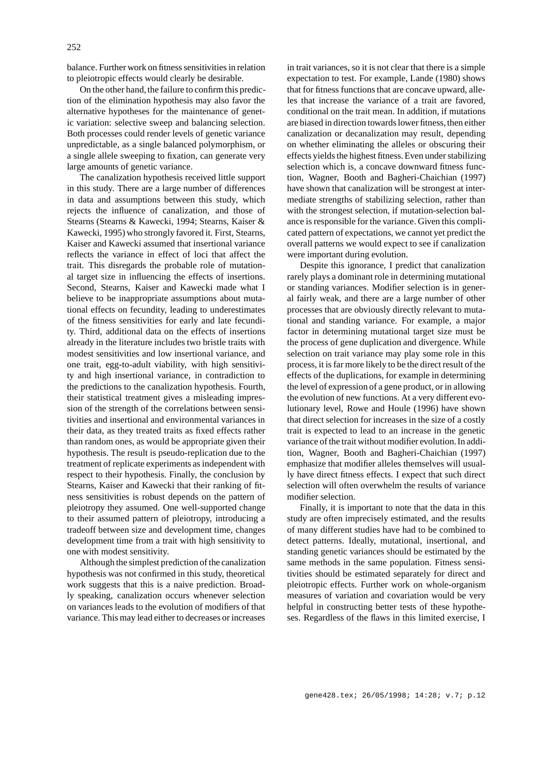balance. Further work on fitness sensitivities in relation to pleiotropic effects would clearly be desirable.

On the other hand, the failure to confirm this prediction of the elimination hypothesis may also favor the alternative hypotheses for the maintenance of genetic variation: selective sweep and balancing selection. Both processes could render levels of genetic variance unpredictable, as a single balanced polymorphism, or a single allele sweeping to fixation, can generate very large amounts of genetic variance.

The canalization hypothesis received little support in this study. There are a large number of differences in data and assumptions between this study, which rejects the influence of canalization, and those of Stearns (Stearns & Kawecki, 1994; Stearns, Kaiser & Kawecki, 1995) who strongly favored it. First, Stearns, Kaiser and Kawecki assumed that insertional variance reflects the variance in effect of loci that affect the trait. This disregards the probable role of mutational target size in influencing the effects of insertions. Second, Stearns, Kaiser and Kawecki made what I believe to be inappropriate assumptions about mutational effects on fecundity, leading to underestimates of the fitness sensitivities for early and late fecundity. Third, additional data on the effects of insertions already in the literature includes two bristle traits with modest sensitivities and low insertional variance, and one trait, egg-to-adult viability, with high sensitivity and high insertional variance, in contradiction to the predictions to the canalization hypothesis. Fourth, their statistical treatment gives a misleading impression of the strength of the correlations between sensitivities and insertional and environmental variances in their data, as they treated traits as fixed effects rather than random ones, as would be appropriate given their hypothesis. The result is pseudo-replication due to the treatment of replicate experiments as independent with respect to their hypothesis. Finally, the conclusion by Stearns, Kaiser and Kawecki that their ranking of fitness sensitivities is robust depends on the pattern of pleiotropy they assumed. One well-supported change to their assumed pattern of pleiotropy, introducing a tradeoff between size and development time, changes development time from a trait with high sensitivity to one with modest sensitivity.

Although the simplest prediction of the canalization hypothesis was not confirmed in this study, theoretical work suggests that this is a naive prediction. Broadly speaking, canalization occurs whenever selection on variances leads to the evolution of modifiers of that variance. This may lead either to decreases or increases

in trait variances, so it is not clear that there is a simple expectation to test. For example, Lande (1980) shows that for fitness functions that are concave upward, alleles that increase the variance of a trait are favored, conditional on the trait mean. In addition, if mutations are biased in direction towards lower fitness, then either canalization or decanalization may result, depending on whether eliminating the alleles or obscuring their effects yields the highest fitness. Even under stabilizing selection which is, a concave downward fitness function, Wagner, Booth and Bagheri-Chaichian (1997) have shown that canalization will be strongest at intermediate strengths of stabilizing selection, rather than with the strongest selection, if mutation-selection balance is responsible for the variance. Given this complicated pattern of expectations, we cannot yet predict the overall patterns we would expect to see if canalization were important during evolution.

Despite this ignorance, I predict that canalization rarely plays a dominant role in determining mutational or standing variances. Modifier selection is in general fairly weak, and there are a large number of other processes that are obviously directly relevant to mutational and standing variance. For example, a major factor in determining mutational target size must be the process of gene duplication and divergence. While selection on trait variance may play some role in this process, it is far more likely to be the direct result of the effects of the duplications, for example in determining the level of expression of a gene product, or in allowing the evolution of new functions. At a very different evolutionary level, Rowe and Houle (1996) have shown that direct selection for increases in the size of a costly trait is expected to lead to an increase in the genetic variance of the trait without modifier evolution.In addition, Wagner, Booth and Bagheri-Chaichian (1997) emphasize that modifier alleles themselves will usually have direct fitness effects. I expect that such direct selection will often overwhelm the results of variance modifier selection.

Finally, it is important to note that the data in this study are often imprecisely estimated, and the results of many different studies have had to be combined to detect patterns. Ideally, mutational, insertional, and standing genetic variances should be estimated by the same methods in the same population. Fitness sensitivities should be estimated separately for direct and pleiotropic effects. Further work on whole-organism measures of variation and covariation would be very helpful in constructing better tests of these hypotheses. Regardless of the flaws in this limited exercise, I